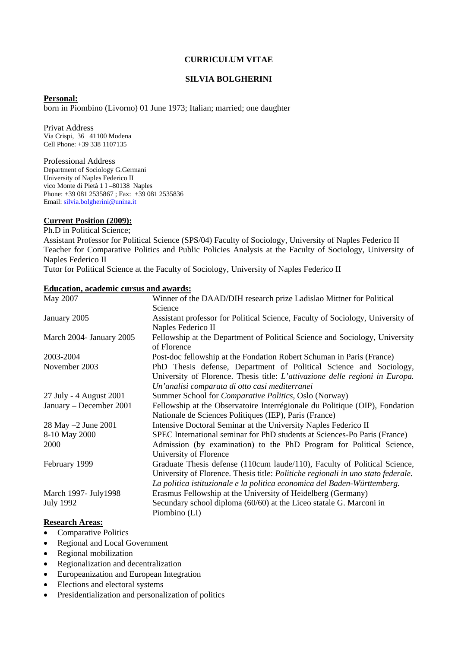#### **CURRICULUM VITAE**

#### **SILVIA BOLGHERINI**

#### **Personal:**

born in Piombino (Livorno) 01 June 1973; Italian; married; one daughter

Privat Address Via Crispi, 36 41100 Modena Cell Phone: +39 338 1107135

Professional Address Department of Sociology G.Germani University of Naples Federico II vico Monte di Pietà 1 I –80138 Naples Phone: +39 081 2535867 ; Fax: [+](mailto:silvia.bolgherini@unina.it)39 081 2535836 Email: [silvia.bolgherini@unina.it](mailto:silvia.bolgherini@unina.it)

### **Current Position (2009):**

Ph.D in Political Science;

Assistant Professor for Political Science (SPS/04) Faculty of Sociology, University of Naples Federico II Teacher for Comparative Politics and Public Policies Analysis at the Faculty of Sociology, University of Naples Federico II

Tutor for Political Science at the Faculty of Sociology, University of Naples Federico II

#### **Education, academic cursus and awards:**

| May 2007                 | Winner of the DAAD/DIH research prize Ladislao Mittner for Political                       |
|--------------------------|--------------------------------------------------------------------------------------------|
|                          | Science                                                                                    |
| January 2005             | Assistant professor for Political Science, Faculty of Sociology, University of             |
|                          | Naples Federico II                                                                         |
| March 2004- January 2005 | Fellowship at the Department of Political Science and Sociology, University<br>of Florence |
| 2003-2004                | Post-doc fellowship at the Fondation Robert Schuman in Paris (France)                      |
| November 2003            | PhD Thesis defense, Department of Political Science and Sociology,                         |
|                          | University of Florence. Thesis title: L'attivazione delle regioni in Europa.               |
|                          | Un'analisi comparata di otto casi mediterranei                                             |
| 27 July - 4 August 2001  | Summer School for Comparative Politics, Oslo (Norway)                                      |
| January – December 2001  | Fellowship at the Observatoire Interrégionale du Politique (OIP), Fondation                |
|                          | Nationale de Sciences Politiques (IEP), Paris (France)                                     |
| 28 May -2 June 2001      | Intensive Doctoral Seminar at the University Naples Federico II                            |
| 8-10 May 2000            | SPEC International seminar for PhD students at Sciences-Po Paris (France)                  |
| 2000                     | Admission (by examination) to the PhD Program for Political Science,                       |
|                          | University of Florence                                                                     |
| February 1999            | Graduate Thesis defense (110cum laude/110), Faculty of Political Science,                  |
|                          | University of Florence. Thesis title: Politiche regionali in uno stato federale.           |
|                          | La politica istituzionale e la politica economica del Baden-Württemberg.                   |
| March 1997- July 1998    | Erasmus Fellowship at the University of Heidelberg (Germany)                               |
| <b>July 1992</b>         | Secundary school diploma (60/60) at the Liceo statale G. Marconi in                        |
|                          | Piombino (LI)                                                                              |

### **Research Areas:**

- Comparative Politics
- Regional and Local Government
- Regional mobilization
- Regionalization and decentralization
- Europeanization and European Integration
- Elections and electoral systems
- Presidentialization and personalization of politics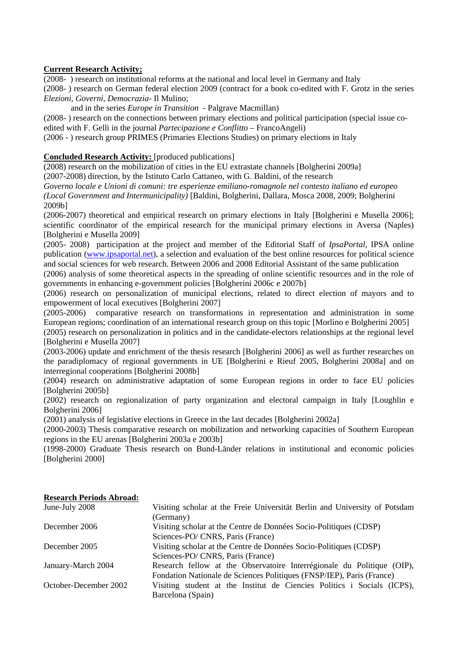### **Current Research Activity;**

(2008- ) research on institutional reforms at the national and local level in Germany and Italy

(2008- ) research on German federal election 2009 (contract for a book co-edited with F. Grotz in the series *Elezioni, Governi, Democrazia-* Il Mulino;

and in the series *Europe in Transition* - Palgrave Macmillan)

(2008- ) research on the connections between primary elections and political participation (special issue coedited with F. Gelli in the journal *Partecipazione e Conflitto* – FrancoAngeli)

(2006 - ) research group PRIMES (Primaries Elections Studies) on primary elections in Italy

### **Concluded Research Activity:** [produced publications]

(2008) research on the mobilization of cities in the EU extrastate channels [Bolgherini 2009a]

(2007-2008) direction, by the Istituto Carlo Cattaneo, with G. Baldini, of the research

*Governo locale e Unioni di comuni: tre esperienze emiliano-romagnole nel contesto italiano ed europeo (Local Government and Intermunicipality)* [Baldini, Bolgherini, Dallara, Mosca 2008, 2009; Bolgherini 2009b]

(2006-2007) theoretical and empirical research on primary elections in Italy [Bolgherini e Musella 2006]; scientific coordinator of the empirical research for the municipal primary elections in Aversa (Naples) [Bolgherini e Musella 2009]

(2005- 2008) participation at the project and member of the Editorial Staff of *IpsaPortal*, IPSA online publication [\(www.ipsaportal.net](http://www.ipsaportal.net/)), a selection and evaluation of the best online resources for political science and social sciences for web research. Between 2006 and 2008 Editorial Assistant of the same publication

(2006) analysis of some theoretical aspects in the spreading of online scientific resources and in the role of governments in enhancing e-government policies [Bolgherini 2006c e 2007b]

(2006) research on personalization of municipal elections, related to direct election of mayors and to empowerment of local executives [Bolgherini 2007]

(2005-2006) comparative research on transformations in representation and administration in some European regions; coordination of an international research group on this topic [Morlino e Bolgherini 2005]

(2005) research on personalization in politics and in the candidate-electors relationships at the regional level [Bolgherini e Musella 2007]

(2003-2006) update and enrichment of the thesis research [Bolgherini 2006] as well as further researches on the paradiplomacy of regional governments in UE [Bolgherini e Rieuf 2005, Bolgherini 2008a] and on interregional cooperations [Bolgherini 2008b]

(2004) research on administrative adaptation of some European regions in order to face EU policies [Bolgherini 2005b]

(2002) research on regionalization of party organization and electoral campaign in Italy [Loughlin e Bolgherini 2006]

(2001) analysis of legislative elections in Greece in the last decades [Bolgherini 2002a]

(2000-2003) Thesis comparative research on mobilization and networking capacities of Southern European regions in the EU arenas [Bolgherini 2003a e 2003b]

(1998-2000) Graduate Thesis research on Bund-Länder relations in institutional and economic policies [Bolgherini 2000]

| June-July 2008        | Visiting scholar at the Freie Universität Berlin and University of Potsdam |
|-----------------------|----------------------------------------------------------------------------|
|                       | (Germany)                                                                  |
| December 2006         | Visiting scholar at the Centre de Données Socio-Politiques (CDSP)          |
|                       | Sciences-PO/ CNRS, Paris (France)                                          |
| December 2005         | Visiting scholar at the Centre de Données Socio-Politiques (CDSP)          |
|                       | Sciences-PO/ CNRS, Paris (France)                                          |
| January-March 2004    | Research fellow at the Observatoire Interrégionale du Politique (OIP),     |
|                       | Fondation Nationale de Sciences Politiques (FNSP/IEP), Paris (France)      |
| October-December 2002 | Visiting student at the Institut de Ciencies Politics i Socials (ICPS),    |
|                       | Barcelona (Spain)                                                          |

#### **Research Periods Abroad:**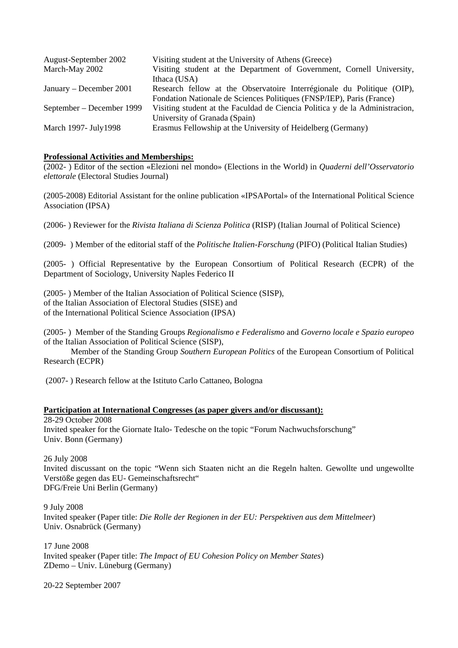| August-September 2002     | Visiting student at the University of Athens (Greece)                        |
|---------------------------|------------------------------------------------------------------------------|
| March-May 2002            | Visiting student at the Department of Government, Cornell University,        |
|                           | Ithaca (USA)                                                                 |
| January – December 2001   | Research fellow at the Observatoire Interrégionale du Politique (OIP),       |
|                           | Fondation Nationale de Sciences Politiques (FNSP/IEP), Paris (France)        |
| September – December 1999 | Visiting student at the Faculdad de Ciencia Politica y de la Administracion, |
|                           | University of Granada (Spain)                                                |
| March 1997- July 1998     | Erasmus Fellowship at the University of Heidelberg (Germany)                 |

### **Professional Activities and Memberships:**

(2002- ) Editor of the section «Elezioni nel mondo» (Elections in the World) in *Quaderni dell'Osservatorio elettorale* (Electoral Studies Journal)

(2005-2008) Editorial Assistant for the online publication «IPSAPortal» of the International Political Science Association (IPSA)

(2006- ) Reviewer for the *Rivista Italiana di Scienza Politica* (RISP) (Italian Journal of Political Science)

(2009- ) Member of the editorial staff of the *Politische Italien-Forschung* (PIFO) (Political Italian Studies)

(2005- ) Official Representative by the European Consortium of Political Research (ECPR) of the Department of Sociology, University Naples Federico II

(2005- ) Member of the Italian Association of Political Science (SISP), of the Italian Association of Electoral Studies (SISE) and of the International Political Science Association (IPSA)

(2005- ) Member of the Standing Groups *Regionalismo e Federalismo* and *Governo locale e Spazio europeo*  of the Italian Association of Political Science (SISP),

 Member of the Standing Group *Southern European Politics* of the European Consortium of Political Research (ECPR)

(2007- ) Research fellow at the Istituto Carlo Cattaneo, Bologna

#### **Participation at International Congresses (as paper givers and/or discussant):**

28-29 October 2008 Invited speaker for the Giornate Italo- Tedesche on the topic "Forum Nachwuchsforschung" Univ. Bonn (Germany)

26 July 2008 Invited discussant on the topic "Wenn sich Staaten nicht an die Regeln halten. Gewollte und ungewollte Verstöße gegen das EU- Gemeinschaftsrecht" DFG/Freie Uni Berlin (Germany)

9 July 2008 Invited speaker (Paper title: *Die Rolle der Regionen in der EU: Perspektiven aus dem Mittelmeer*) Univ. Osnabrück (Germany)

17 June 2008 Invited speaker (Paper title: *The Impact of EU Cohesion Policy on Member States*) ZDemo – Univ. Lüneburg (Germany)

20-22 September 2007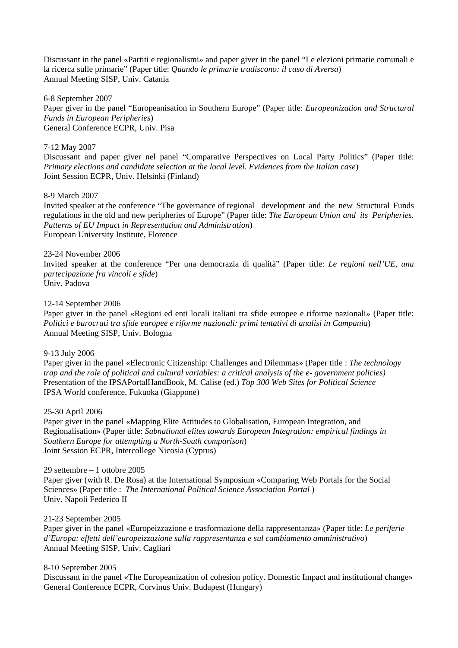Discussant in the panel «Partiti e regionalismi» and paper giver in the panel "Le elezioni primarie comunali e la ricerca sulle primarie" (Paper title: *Quando le primarie tradiscono: il caso di Aversa*) Annual Meeting SISP, Univ. Catania

6-8 September 2007 Paper giver in the panel "Europeanisation in Southern Europe" (Paper title: *Europeanization and Structural Funds in European Peripheries*) General Conference ECPR*,* Univ. Pisa

#### 7-12 May 2007

Discussant and paper giver nel panel "Comparative Perspectives on Local Party Politics" (Paper title: *Primary elections and candidate selection at the local level. Evidences from the Italian case*) Joint Session ECPR, Univ. Helsinki (Finland)

#### 8-9 March 2007

Invited speaker at the conference "The governance of regional development and the new Structural Funds regulations in the old and new peripheries of Europe" (Paper title: *The European Union and its Peripheries. Patterns of EU Impact in Representation and Administration*) European University Institute, Florence

#### 23-24 November 2006

Invited speaker at the conference "Per una democrazia di qualità" (Paper title: *Le regioni nell'UE, una partecipazione fra vincoli e sfide*) Univ. Padova

#### 12-14 September 2006

Paper giver in the panel «Regioni ed enti locali italiani tra sfide europee e riforme nazionali» (Paper title: *Politici e burocrati tra sfide europee e riforme nazionali: primi tentativi di analisi in Campania*) Annual Meeting SISP, Univ. Bologna

#### 9-13 July 2006

Paper giver in the panel «Electronic Citizenship: Challenges and Dilemmas» (Paper title : *The technology trap and the role of political and cultural variables: a critical analysis of the e- government policies)*  Presentation of the IPSAPortalHandBook, M. Calise (ed.) *Top 300 Web Sites for Political Science* IPSA World conference, Fukuoka (Giappone)

#### 25-30 April 2006

Paper giver in the panel «Mapping Elite Attitudes to Globalisation, European Integration, and Regionalisation» (Paper title: *Subnational elites towards European Integration: empirical findings in Southern Europe for attempting a North-South comparison*) Joint Session ECPR*,* Intercollege Nicosia (Cyprus)

29 settembre – 1 ottobre 2005 Paper giver (with R. De Rosa) at the International Symposium «Comparing Web Portals for the Social Sciences» (Paper title : *The International Political Science Association Portal* ) Univ. Napoli Federico II

#### 21-23 September 2005

Paper giver in the panel «Europeizzazione e trasformazione della rappresentanza» (Paper title: *Le periferie d'Europa: effetti dell'europeizzazione sulla rappresentanza e sul cambiamento amministrativo*) Annual Meeting SISP, Univ. Cagliari

#### 8-10 September 2005

Discussant in the panel «The Europeanization of cohesion policy. Domestic Impact and institutional change» General Conference ECPR, Corvinus Univ. Budapest (Hungary)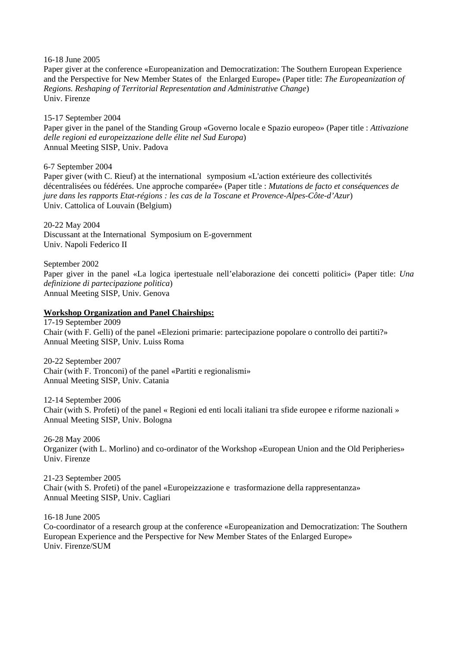16-18 June 2005

Paper giver at the conference «Europeanization and Democratization: The Southern European Experience and the Perspective for New Member States of the Enlarged Europe» (Paper title: *The Europeanization of Regions. Reshaping of Territorial Representation and Administrative Change*) Univ. Firenze

15-17 September 2004 Paper giver in the panel of the Standing Group «Governo locale e Spazio europeo» (Paper title : *Attivazione delle regioni ed europeizzazione delle élite nel Sud Europa*) Annual Meeting SISP, Univ. Padova

6-7 September 2004 Paper giver (with C. Rieuf) at the international symposium «L'action extérieure des collectivités décentralisées ou fédérées. Une approche comparée» (Paper title : *Mutations de facto et conséquences de jure dans les rapports Etat-régions : les cas de la Toscane et Provence-Alpes-Côte-d'Azur*) Univ. Cattolica of Louvain (Belgium)

20-22 May 2004 Discussant at the International Symposium on E-government Univ. Napoli Federico II

September 2002 Paper giver in the panel «La logica ipertestuale nell'elaborazione dei concetti politici» (Paper title: *Una definizione di partecipazione politica*) Annual Meeting SISP, Univ. Genova

#### **Workshop Organization and Panel Chairships:**

17-19 September 2009 Chair (with F. Gelli) of the panel «Elezioni primarie: partecipazione popolare o controllo dei partiti?» Annual Meeting SISP, Univ. Luiss Roma

20-22 September 2007 Chair (with F. Tronconi) of the panel «Partiti e regionalismi» Annual Meeting SISP, Univ. Catania

12-14 September 2006 Chair (with S. Profeti) of the panel « Regioni ed enti locali italiani tra sfide europee e riforme nazionali » Annual Meeting SISP, Univ. Bologna

26-28 May 2006 Organizer (with L. Morlino) and co-ordinator of the Workshop «European Union and the Old Peripheries» Univ. Firenze

21-23 September 2005 Chair (with S. Profeti) of the panel «Europeizzazione e trasformazione della rappresentanza» Annual Meeting SISP, Univ. Cagliari

16-18 June 2005

Co-coordinator of a research group at the conference «Europeanization and Democratization: The Southern European Experience and the Perspective for New Member States of the Enlarged Europe» Univ. Firenze/SUM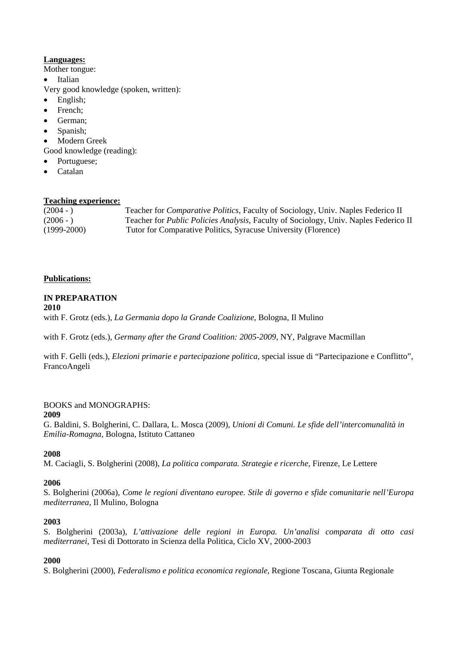# **Languages:**

Mother tongue:

- **Italian**
- Very good knowledge (spoken, written):
- English;
- French;
- German;
- Spanish;
- Modern Greek

Good knowledge (reading):

- Portuguese;
- Catalan

### **Teaching experience:**

(2004 - ) Teacher for *Comparative Politics*, Faculty of Sociology, Univ. Naples Federico II (2006 - )Teacher for *Public Policies Analysis,* Faculty of Sociology, Univ. Naples Federico II (1999-2000) Tutor for Comparative Politics, Syracuse University (Florence)

### **Publications:**

### **IN PREPARATION**

**2010** 

with F. Grotz (eds.), *La Germania dopo la Grande Coalizione*, Bologna, Il Mulino

with F. Grotz (eds.), *Germany after the Grand Coalition: 2005-2009*, NY, Palgrave Macmillan

with F. Gelli (eds.), *Elezioni primarie e partecipazione politica*, special issue di "Partecipazione e Conflitto", FrancoAngeli

#### BOOKS and MONOGRAPHS:

#### **2009**

G. Baldini, S. Bolgherini, C. Dallara, L. Mosca (2009), *Unioni di Comuni. Le sfide dell'intercomunalità in Emilia-Romagna*, Bologna, Istituto Cattaneo

### **2008**

M. Caciagli, S. Bolgherini (2008), *La politica comparata. Strategie e ricerche*, Firenze, Le Lettere

### **2006**

S. Bolgherini (2006a), *Come le regioni diventano europee. Stile di governo e sfide comunitarie nell'Europa mediterranea*, Il Mulino, Bologna

### **2003**

S. Bolgherini (2003a), *L'attivazione delle regioni in Europa. Un'analisi comparata di otto casi mediterranei*, Tesi di Dottorato in Scienza della Politica, Ciclo XV, 2000-2003

### **2000**

S. Bolgherini (2000), *Federalismo e politica economica regionale*, Regione Toscana, Giunta Regionale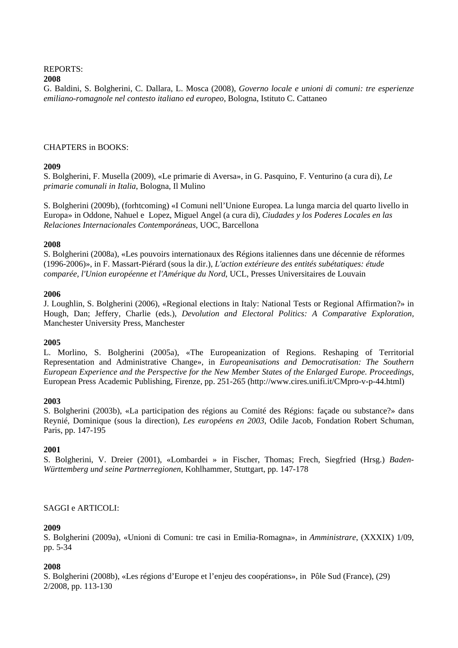# REPORTS:

### **2008**

G. Baldini, S. Bolgherini, C. Dallara, L. Mosca (2008), *Governo locale e unioni di comuni: tre esperienze emiliano-romagnole nel contesto italiano ed europeo*, Bologna, Istituto C. Cattaneo

### CHAPTERS in BOOKS:

### **2009**

S. Bolgherini, F. Musella (2009), «Le primarie di Aversa», in G. Pasquino, F. Venturino (a cura di), *Le primarie comunali in Italia*, Bologna, Il Mulino

S. Bolgherini (2009b), (forhtcoming) «I Comuni nell'Unione Europea. La lunga marcia del quarto livello in Europa» in Oddone, Nahuel e Lopez, Miguel Angel (a cura di), *Ciudades y los Poderes Locales en las Relaciones Internacionales Contemporáneas*, UOC, Barcellona

### **2008**

S. Bolgherini (2008a), «Les pouvoirs internationaux des Régions italiennes dans une décennie de réformes (1996-2006)», in F. Massart-Piérard (sous la dir.), *L'action extérieure des entités subétatiques: étude comparée, l'Union européenne et l'Amérique du Nord*, UCL, Presses Universitaires de Louvain

### **2006**

J. Loughlin, S. Bolgherini (2006), «Regional elections in Italy: National Tests or Regional Affirmation?» in Hough, Dan; Jeffery, Charlie (eds.), *Devolution and Electoral Politics: A Comparative Exploration,* Manchester University Press, Manchester

# **2005**

L. Morlino, S. Bolgherini (2005a), «The Europeanization of Regions. Reshaping of Territorial Representation and Administrative Change», in *Europeanisations and Democratisation: The Southern European Experience and the Perspective for the New Member States of the Enlarged Europe. Proceedings*, European Press Academic Publishing, Firenze, pp. 251-265 (http://www.cires.unifi.it/CMpro-v-p-44.html)

### **2003**

S. Bolgherini (2003b), «La participation des régions au Comité des Régions: façade ou substance?» dans Reynié, Dominique (sous la direction), *Les européens en 2003*, Odile Jacob, Fondation Robert Schuman, Paris, pp. 147-195

# **2001**

S. Bolgherini, V. Dreier (2001), «Lombardei » in Fischer, Thomas; Frech, Siegfried (Hrsg.) *Baden-Württemberg und seine Partnerregionen*, Kohlhammer, Stuttgart, pp. 147-178

# SAGGI e ARTICOLI:

### **2009**

S. Bolgherini (2009a), «Unioni di Comuni: tre casi in Emilia-Romagna», in *Amministrare*, (XXXIX) 1/09, pp. 5-34

# **2008**

S. Bolgherini (2008b), «Les régions d'Europe et l'enjeu des coopérations», in Pôle Sud (France), (29) 2/2008, pp. 113-130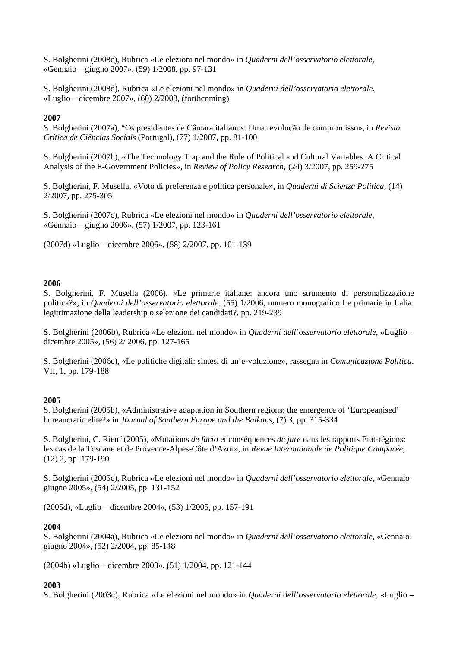S. Bolgherini (2008c), Rubrica «Le elezioni nel mondo» in *Quaderni dell'osservatorio elettorale*, «Gennaio – giugno 2007», (59) 1/2008, pp. 97-131

S. Bolgherini (2008d), Rubrica «Le elezioni nel mondo» in *Quaderni dell'osservatorio elettorale*, «Luglio – dicembre 2007», (60) 2/2008, (forthcoming)

### **2007**

S. Bolgherini (2007a), "Os presidentes de Câmara italianos: Uma revolução de compromisso», in *Revista Crítica de Ciências Sociais* (Portugal), (77) 1/2007, pp. 81-100

S. Bolgherini (2007b), «The Technology Trap and the Role of Political and Cultural Variables: A Critical Analysis of the E-Government Policies», in *Review of Policy Research*, (24) 3/2007, pp. 259-275

S. Bolgherini, F. Musella, «Voto di preferenza e politica personale», in *Quaderni di Scienza Politica*, (14) 2/2007, pp. 275-305

S. Bolgherini (2007c), Rubrica «Le elezioni nel mondo» in *Quaderni dell'osservatorio elettorale*, «Gennaio – giugno 2006», (57) 1/2007, pp. 123-161

(2007d) «Luglio – dicembre 2006», (58) 2/2007, pp. 101-139

### **2006**

S. Bolgherini, F. Musella (2006), «Le primarie italiane: ancora uno strumento di personalizzazione politica?», in *Quaderni dell'osservatorio elettorale*, (55) 1/2006, numero monografico Le primarie in Italia: legittimazione della leadership o selezione dei candidati?, pp. 219-239

S. Bolgherini (2006b), Rubrica «Le elezioni nel mondo» in *Quaderni dell'osservatorio elettorale*, «Luglio – dicembre 2005», (56) 2/ 2006, pp. 127-165

S. Bolgherini (2006c), «Le politiche digitali: sintesi di un'e-voluzione», rassegna in *Comunicazione Politica*, VII, 1, pp. 179-188

#### **2005**

S. Bolgherini (2005b), «Administrative adaptation in Southern regions: the emergence of 'Europeanised' bureaucratic elite?» in *Journal of Southern Europe and the Balkans*, (7) 3, pp. 315-334

S. Bolgherini, C. Rieuf (2005), «Mutations *de facto* et conséquences *de jure* dans les rapports Etat-régions: les cas de la Toscane et de Provence-Alpes-Côte d'Azur», in *Revue Internationale de Politique Comparée*, (12) 2, pp. 179-190

S. Bolgherini (2005c), Rubrica «Le elezioni nel mondo» in *Quaderni dell'osservatorio elettorale*, «Gennaio– giugno 2005», (54) 2/2005, pp. 131-152

(2005d), «Luglio – dicembre 2004», (53) 1/2005, pp. 157-191

#### **2004**

S. Bolgherini (2004a), Rubrica «Le elezioni nel mondo» in *Quaderni dell'osservatorio elettorale*, «Gennaio– giugno 2004», (52) 2/2004, pp. 85-148

(2004b) «Luglio – dicembre 2003», (51) 1/2004, pp. 121-144

### **2003**

S. Bolgherini (2003c), Rubrica «Le elezioni nel mondo» in *Quaderni dell'osservatorio elettorale*, «Luglio –